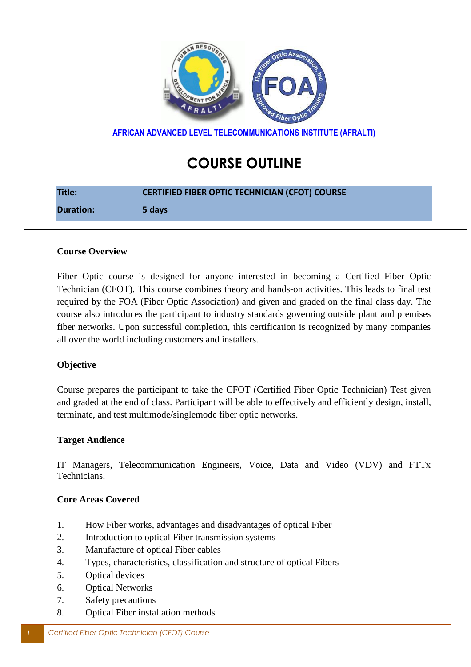

**AFRICAN ADVANCED LEVEL TELECOMMUNICATIONS INSTITUTE (AFRALTI)**

# **COURSE OUTLINE**

| <b>Title:</b>    | <b>CERTIFIED FIBER OPTIC TECHNICIAN (CFOT) COURSE</b> |
|------------------|-------------------------------------------------------|
| <b>Duration:</b> | 5 days                                                |

#### **Course Overview**

Fiber Optic course is designed for anyone interested in becoming a Certified Fiber Optic Technician (CFOT). This course combines theory and hands-on activities. This leads to final test required by the FOA (Fiber Optic Association) and given and graded on the final class day. The course also introduces the participant to industry standards governing outside plant and premises fiber networks. Upon successful completion, this certification is recognized by many companies all over the world including customers and installers.

## **Objective**

Course prepares the participant to take the CFOT (Certified Fiber Optic Technician) Test given and graded at the end of class. Participant will be able to effectively and efficiently design, install, terminate, and test multimode/singlemode fiber optic networks.

#### **Target Audience**

IT Managers, Telecommunication Engineers, Voice, Data and Video (VDV) and FTTx Technicians.

#### **Core Areas Covered**

- 1. How Fiber works, advantages and disadvantages of optical Fiber
- 2. Introduction to optical Fiber transmission systems
- 3. Manufacture of optical Fiber cables
- 4. Types, characteristics, classification and structure of optical Fibers
- 5. Optical devices
- 6. Optical Networks
- 7. Safety precautions
- 8. Optical Fiber installation methods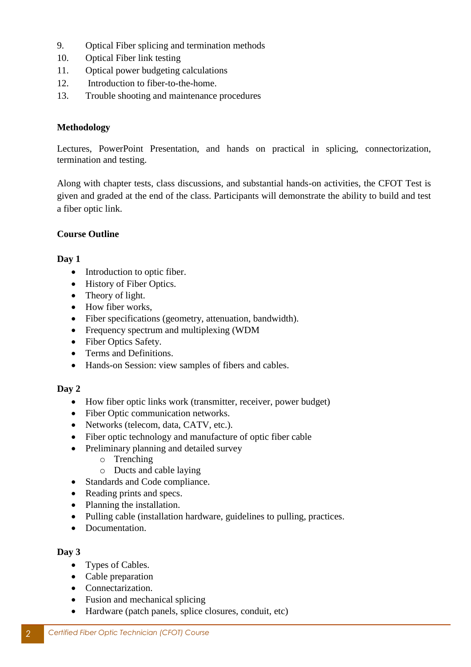- 9. Optical Fiber splicing and termination methods
- 10. Optical Fiber link testing
- 11. Optical power budgeting calculations
- 12. Introduction to fiber-to-the-home.
- 13. Trouble shooting and maintenance procedures

## **Methodology**

Lectures, PowerPoint Presentation, and hands on practical in splicing, connectorization, termination and testing.

Along with chapter tests, class discussions, and substantial hands-on activities, the CFOT Test is given and graded at the end of the class. Participants will demonstrate the ability to build and test a fiber optic link.

# **Course Outline**

# **Day 1**

- Introduction to optic fiber.
- History of Fiber Optics.
- Theory of light.
- How fiber works,
- Fiber specifications (geometry, attenuation, bandwidth).
- Frequency spectrum and multiplexing (WDM
- Fiber Optics Safety.
- Terms and Definitions.
- Hands-on Session: view samples of fibers and cables.

## **Day 2**

- How fiber optic links work (transmitter, receiver, power budget)
- Fiber Optic communication networks.
- Networks (telecom, data, CATV, etc.).
- Fiber optic technology and manufacture of optic fiber cable
- Preliminary planning and detailed survey
	- o Trenching
	- o Ducts and cable laying
- Standards and Code compliance.
- Reading prints and specs.
- Planning the installation.
- Pulling cable (installation hardware, guidelines to pulling, practices.
- Documentation.

## **Day 3**

- Types of Cables.
- Cable preparation
- Connectarization.
- Fusion and mechanical splicing
- Hardware (patch panels, splice closures, conduit, etc)